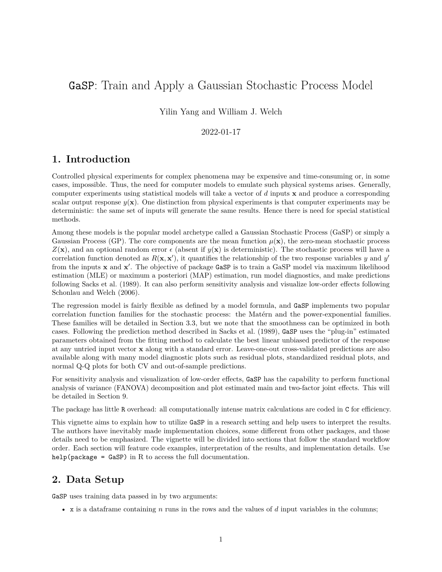# GaSP: Train and Apply a Gaussian Stochastic Process Model

Yilin Yang and William J. Welch

### 2022-01-17

# **1. Introduction**

Controlled physical experiments for complex phenomena may be expensive and time-consuming or, in some cases, impossible. Thus, the need for computer models to emulate such physical systems arises. Generally, computer experiments using statistical models will take a vector of *d* inputs **x** and produce a corresponding scalar output response  $y(\mathbf{x})$ . One distinction from physical experiments is that computer experiments may be deterministic: the same set of inputs will generate the same results. Hence there is need for special statistical methods.

Among these models is the popular model archetype called a Gaussian Stochastic Process (GaSP) or simply a Gaussian Process (GP). The core components are the mean function  $\mu(\mathbf{x})$ , the zero-mean stochastic process  $Z(\mathbf{x})$ , and an optional random error  $\epsilon$  (absent if  $y(\mathbf{x})$  is deterministic). The stochastic process will have a correlation function denoted as  $R(\mathbf{x}, \mathbf{x}')$ , it quantifies the relationship of the two response variables *y* and *y'* from the inputs **x** and **x'**. The objective of package GaSP is to train a GaSP model via maximum likelihood estimation (MLE) or maximum a posteriori (MAP) estimation, run model diagnostics, and make predictions following [Sacks et al.](#page-16-0) [\(1989\)](#page-16-0). It can also perform sensitivity analysis and visualize low-order effects following [Schonlau and Welch](#page-16-1) [\(2006\)](#page-16-1).

The regression model is fairly flexible as defined by a model formula, and GaSP implements two popular correlation function families for the stochastic process: the Matérn and the power-exponential families. These families will be detailed in Section 3.3, but we note that the smoothness can be optimized in both cases. Following the prediction method described in [Sacks et al.](#page-16-0) [\(1989\)](#page-16-0), GaSP uses the "plug-in" estimated parameters obtained from the fitting method to calculate the best linear unbiased predictor of the response at any untried input vector **x** along with a standard error. Leave-one-out cross-validated predictions are also available along with many model diagnostic plots such as residual plots, standardized residual plots, and normal Q-Q plots for both CV and out-of-sample predictions.

For sensitivity analysis and visualization of low-order effects, GaSP has the capability to perform functional analysis of variance (FANOVA) decomposition and plot estimated main and two-factor joint effects. This will be detailed in Section 9.

The package has little R overhead: all computationally intense matrix calculations are coded in C for efficiency.

This vignette aims to explain how to utilize GaSP in a research setting and help users to interpret the results. The authors have inevitably made implementation choices, some different from other packages, and those details need to be emphasized. The vignette will be divided into sections that follow the standard workflow order. Each section will feature code examples, interpretation of the results, and implementation details. Use help(package =  $\text{GaSP}$ ) in R to access the full documentation.

# **2. Data Setup**

GaSP uses training data passed in by two arguments:

• x is a dataframe containing *n* runs in the rows and the values of *d* input variables in the columns;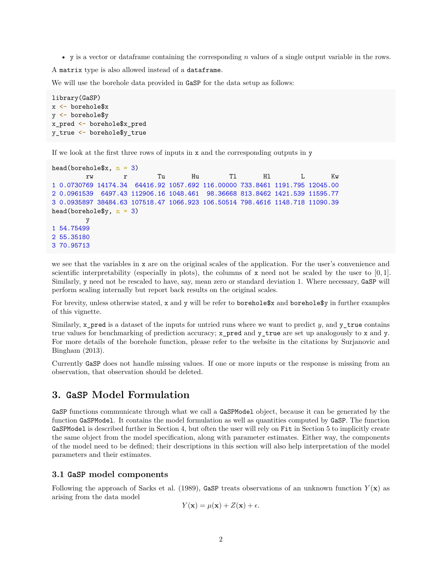• y is a vector or dataframe containing the corresponding *n* values of a single output variable in the rows.

A matrix type is also allowed instead of a dataframe.

We will use the borehole data provided in GaSP for the data setup as follows:

```
library(GaSP)
x <- borehole$x
y <- borehole$y
x_pred <- borehole$x_pred
y_true <- borehole$y_true
```
If we look at the first three rows of inputs in  $x$  and the corresponding outputs in  $y$ 

```
head(borehole$x, n = 3)
        rw r Tu Hu Tl Hl L Kw
1 0.0730769 14174.34 64416.92 1057.692 116.00000 733.8461 1191.795 12045.00
2 0.0961539 6497.43 112906.16 1048.461 98.36668 813.8462 1421.539 11595.77
3 0.0935897 38484.63 107518.47 1066.923 106.50514 798.4616 1148.718 11090.39
head(borehole$y, n = 3)
        y
1 54.75499
2 55.35180
3 70.95713
```
we see that the variables in x are on the original scales of the application. For the user's convenience and scientific interpretability (especially in plots), the columns of x need not be scaled by the user to [0*,* 1]. Similarly, y need not be rescaled to have, say, mean zero or standard deviation 1. Where necessary, GaSP will perform scaling internally but report back results on the original scales.

For brevity, unless otherwise stated, x and y will be refer to borehole\$x and borehole\$y in further examples of this vignette.

Similarly, x\_pred is a dataset of the inputs for untried runs where we want to predict *y*, and y\_true contains true values for benchmarking of prediction accuracy; x\_pred and y\_true are set up analogously to x and y. For more details of the borehole function, please refer to the website in the citations by [Surjanovic and](#page-16-2) [Bingham](#page-16-2) [\(2013\)](#page-16-2).

Currently GaSP does not handle missing values. If one or more inputs or the response is missing from an observation, that observation should be deleted.

### **3. GaSP Model Formulation**

GaSP functions communicate through what we call a GaSPModel object, because it can be generated by the function GaSPModel. It contains the model formulation as well as quantities computed by GaSP. The function GaSPModel is described further in Section 4, but often the user will rely on Fit in Section 5 to implicitly create the same object from the model specification, along with parameter estimates. Either way, the components of the model need to be defined; their descriptions in this section will also help interpretation of the model parameters and their estimates.

#### **3.1 GaSP model components**

Following the approach of [Sacks et al.](#page-16-0) [\(1989\)](#page-16-0), GaSP treats observations of an unknown function  $Y(\mathbf{x})$  as arising from the data model

$$
Y(\mathbf{x}) = \mu(\mathbf{x}) + Z(\mathbf{x}) + \epsilon.
$$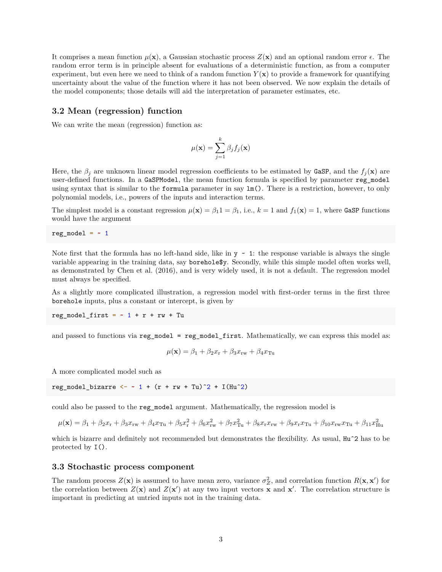It comprises a mean function  $\mu(\mathbf{x})$ , a Gaussian stochastic process  $Z(\mathbf{x})$  and an optional random error  $\epsilon$ . The random error term is in principle absent for evaluations of a deterministic function, as from a computer experiment, but even here we need to think of a random function  $Y(\mathbf{x})$  to provide a framework for quantifying uncertainty about the value of the function where it has not been observed. We now explain the details of the model components; those details will aid the interpretation of parameter estimates, etc.

#### **3.2 Mean (regression) function**

We can write the mean (regression) function as:

$$
\mu(\mathbf{x}) = \sum_{j=1}^{k} \beta_j f_j(\mathbf{x})
$$

Here, the  $\beta_j$  are unknown linear model regression coefficients to be estimated by GaSP, and the  $f_j(\mathbf{x})$  are user-defined functions. In a GaSPModel, the mean function formula is specified by parameter reg\_model using syntax that is similar to the **formula** parameter in say  $\text{Im}()$ . There is a restriction, however, to only polynomial models, i.e., powers of the inputs and interaction terms.

The simplest model is a constant regression  $\mu(\mathbf{x}) = \beta_1 \mathbf{1} = \beta_1$ , i.e.,  $k = 1$  and  $f_1(\mathbf{x}) = 1$ , where GaSP functions would have the argument

```
reg_model = -1
```
Note first that the formula has no left-hand side, like in  $y \sim 1$ : the response variable is always the single variable appearing in the training data, say borehole\$y. Secondly, while this simple model often works well, as demonstrated by [Chen et al.](#page-16-3) [\(2016\)](#page-16-3), and is very widely used, it is not a default. The regression model must always be specified.

As a slightly more complicated illustration, a regression model with first-order terms in the first three borehole inputs, plus a constant or intercept, is given by

 $reg_model_first = -1 + r + rw + Tu$ 

and passed to functions via reg\_model = reg\_model\_first. Mathematically, we can express this model as:

$$
\mu(\mathbf{x}) = \beta_1 + \beta_2 x_{\rm r} + \beta_3 x_{\rm rw} + \beta_4 x_{\rm Tu}
$$

A more complicated model such as

reg model bizarre <-  $\sim$  1 + (r + rw + Tu)<sup> $\sim$ </sup>2 + I(Hu<sup> $\sim$ </sup>2)

could also be passed to the reg\_model argument. Mathematically, the regression model is

 $\mu(\mathbf{x}) = \beta_1 + \beta_2 x_r + \beta_3 x_{rw} + \beta_4 x_{Tu} + \beta_5 x_r^2 + \beta_6 x_{rw}^2 + \beta_7 x_{Tu}^2 + \beta_8 x_r x_{rw} + \beta_9 x_r x_{Tu} + \beta_{10} x_{rw} x_{Tu} + \beta_{11} x_{Hu}^2$ 

which is bizarre and definitely not recommended but demonstrates the flexibility. As usual, Hu<sup> $\text{2}$ </sup> has to be protected by I().

#### **3.3 Stochastic process component**

The random process  $Z(\mathbf{x})$  is assumed to have mean zero, variance  $\sigma_Z^2$ , and correlation function  $R(\mathbf{x}, \mathbf{x}')$  for the correlation between  $Z(\mathbf{x})$  and  $Z(\mathbf{x}')$  at any two input vectors  $\overline{\mathbf{x}}$  and  $\mathbf{x}'$ . The correlation structure is important in predicting at untried inputs not in the training data.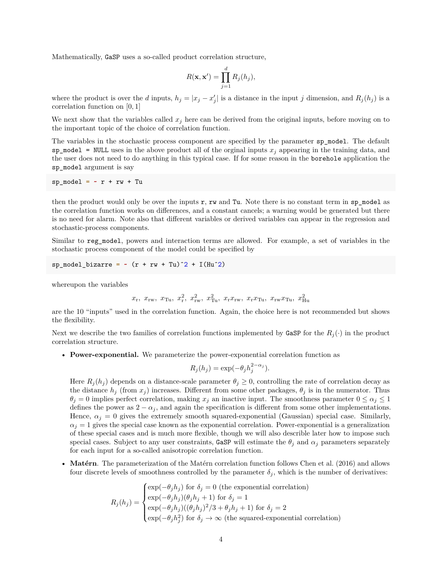Mathematically, GaSP uses a so-called product correlation structure,

$$
R(\mathbf{x}, \mathbf{x}') = \prod_{j=1}^d R_j(h_j),
$$

where the product is over the *d* inputs,  $h_j = |x_j - x'_j|$  is a distance in the input *j* dimension, and  $R_j(h_j)$  is a correlation function on [0*,* 1]

We next show that the variables called *x<sup>j</sup>* here can be derived from the original inputs, before moving on to the important topic of the choice of correlation function.

The variables in the stochastic process component are specified by the parameter sp\_model. The default sp\_model = NULL uses in the above product all of the orginal inputs  $x_j$  appearing in the training data, and the user does not need to do anything in this typical case. If for some reason in the borehole application the sp\_model argument is say

 $sp_{model} = r + rw + Tu$ 

then the product would only be over the inputs  $r$ ,  $rw$  and  $Tu$ . Note there is no constant term in  $sp\_model$  as the correlation function works on differences, and a constant cancels; a warning would be generated but there is no need for alarm. Note also that different variables or derived variables can appear in the regression and stochastic-process components.

Similar to reg\_model, powers and interaction terms are allowed. For example, a set of variables in the stochastic process component of the model could be specified by

sp\_model\_bizarre =  $\sim$  (r + rw + Tu)<sup> $\gamma$ </sup> + I(Hu<sup> $\gamma$ </sup>)

whereupon the variables

$$
x_{\rm r}, x_{\rm rw}, x_{\rm Tu}, x_{\rm r}^2, x_{\rm rw}^2, x_{\rm Tu}^2, x_{\rm r}x_{\rm rw}, x_{\rm r}x_{\rm Tu}, x_{\rm rw}x_{\rm Tu}, x_{\rm Hu}^2
$$

are the 10 "inputs" used in the correlation function. Again, the choice here is not recommended but shows the flexibility.

Next we describe the two families of correlation functions implemented by GaSP for the  $R_j(\cdot)$  in the product correlation structure.

• **Power-exponential.** We parameterize the power-exponential correlation function as

$$
R_j(h_j) = \exp(-\theta_j h_j^{2-\alpha_j}).
$$

Here  $R_j(h_j)$  depends on a distance-scale parameter  $\theta_j \geq 0$ , controlling the rate of correlation decay as the distance  $h_j$  (from  $x_j$ ) increases. Different from some other packages,  $\theta_j$  is in the numerator. Thus  $\theta_j = 0$  implies perfect correlation, making  $x_j$  an inactive input. The smoothness parameter  $0 \le \alpha_j \le 1$ defines the power as  $2 - \alpha_j$ , and again the specification is different from some other implementations. Hence,  $\alpha_j = 0$  gives the extremely smooth squared-exponential (Gaussian) special case. Similarly,  $\alpha_j = 1$  gives the special case known as the exponential correlation. Power-exponential is a generalization of these special cases and is much more flexible, though we will also describle later how to impose such special cases. Subject to any user constraints, GaSP will estimate the  $\theta_i$  and  $\alpha_j$  parameters separately for each input for a so-called anisotropic correlation function.

• **Matérn**. The parameterization of the Matérn correlation function follows [Chen et al.](#page-16-3) [\(2016\)](#page-16-3) and allows four discrete levels of smoothness controlled by the parameter  $\delta_j$ , which is the number of derivatives:

$$
R_j(h_j) = \begin{cases} \exp(-\theta_j h_j) \text{ for } \delta_j = 0 \text{ (the exponential correlation)} \\ \exp(-\theta_j h_j)(\theta_j h_j + 1) \text{ for } \delta_j = 1 \\ \exp(-\theta_j h_j)((\theta_j h_j)^2/3 + \theta_j h_j + 1) \text{ for } \delta_j = 2 \\ \exp(-\theta_j h_j^2) \text{ for } \delta_j \to \infty \text{ (the squared-exponential correlation)} \end{cases}
$$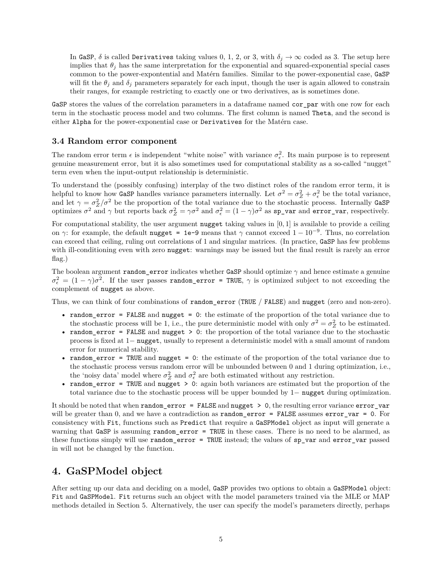In GaSP,  $\delta$  is called Derivatives taking values 0, 1, 2, or 3, with  $\delta_j \to \infty$  coded as 3. The setup here implies that  $\theta_j$  has the same interpretation for the exponential and squared-exponential special cases common to the power-expontential and Matérn families. Similar to the power-exponential case, GaSP will fit the  $\theta_j$  and  $\delta_j$  parameters separately for each input, though the user is again allowed to constrain their ranges, for example restricting to exactly one or two derivatives, as is sometimes done.

GaSP stores the values of the correlation parameters in a dataframe named cor par with one row for each term in the stochastic process model and two columns. The first column is named Theta, and the second is either Alpha for the power-exponential case or Derivatives for the Matérn case.

#### **3.4 Random error component**

The random error term  $\epsilon$  is independent "white noise" with variance  $\sigma_{\epsilon}^2$ . Its main purpose is to represent genuine measurement error, but it is also sometimes used for computational stability as a so-called "nugget" term even when the input-output relationship is deterministic.

To understand the (possibly confusing) interplay of the two distinct roles of the random error term, it is helpful to know how GaSP handles variance parameters internally. Let  $\sigma^2 = \sigma_Z^2 + \sigma_{\epsilon}^2$  be the total variance, and let  $\gamma = \sigma_Z^2/\sigma^2$  be the proportion of the total variance due to the stochastic process. Internally GaSP optimizes  $\sigma^2$  and  $\gamma$  but reports back  $\sigma_Z^2 = \gamma \sigma^2$  and  $\sigma_\epsilon^2 = (1 - \gamma) \sigma^2$  as  $\text{sp\_var}$  and  $\text{error\_var}$ , respectively.

For computational stability, the user argument nugget taking values in [0*,* 1] is available to provide a ceiling on *γ*: for example, the default nugget = 1e-9 means that *γ* cannot exceed  $1-10^{-9}$ . Thus, no correlation can exceed that ceiling, ruling out correlations of 1 and singular matrices. (In practice, GaSP has few problems with ill-conditioning even with zero nugget: warnings may be issued but the final result is rarely an error flag.)

The boolean argument random\_error indicates whether GaSP should optimize *γ* and hence estimate a genuine  $\sigma_{\epsilon}^2 = (1 - \gamma)\sigma^2$ . If the user passes random\_error = TRUE,  $\gamma$  is optimized subject to not exceeding the complement of nugget as above.

Thus, we can think of four combinations of random\_error (TRUE / FALSE) and nugget (zero and non-zero).

- random\_error = FALSE and nugget = 0: the estimate of the proportion of the total variance due to the stochastic process will be 1, i.e., the pure deterministic model with only  $\sigma^2 = \sigma_Z^2$  to be estimated.
- random\_error = FALSE and nugget > 0: the proportion of the total variance due to the stochastic process is fixed at 1− nugget, usually to represent a deterministic model with a small amount of random error for numerical stability.
- random\_error = TRUE and nugget = 0: the estimate of the proportion of the total variance due to the stochastic process versus random error will be unbounded between 0 and 1 during optimization, i.e., the 'noisy data' model where  $\sigma_Z^2$  and  $\sigma_{\epsilon}^2$  are both estimated without any restriction.
- random\_error = TRUE and nugget > 0: again both variances are estimated but the proportion of the total variance due to the stochastic process will be upper bounded by 1− nugget during optimization.

It should be noted that when random\_error = FALSE and nugget > 0, the resulting error variance error\_var will be greater than 0, and we have a contradiction as  $\text{random\_error} = \text{FALSE}$  assumes  $\text{error\_var} = 0$ . For consistency with Fit, functions such as Predict that require a GaSPModel object as input will generate a warning that GaSP is assuming random\_error = TRUE in these cases. There is no need to be alarmed, as these functions simply will use random\_error = TRUE instead; the values of sp\_var and error\_var passed in will not be changed by the function.

# **4. GaSPModel object**

After setting up our data and deciding on a model, GaSP provides two options to obtain a GaSPModel object: Fit and GaSPModel. Fit returns such an object with the model parameters trained via the MLE or MAP methods detailed in Section 5. Alternatively, the user can specify the model's parameters directly, perhaps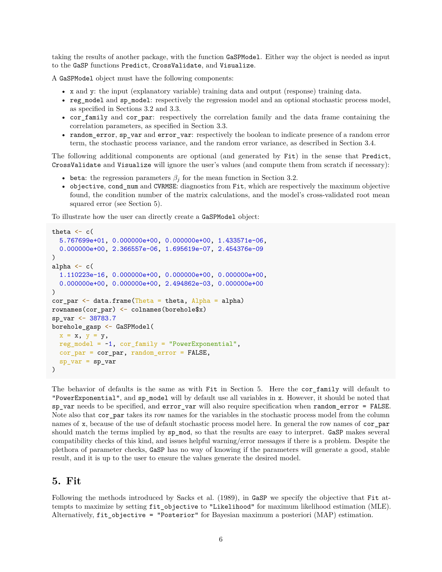taking the results of another package, with the function GaSPModel. Either way the object is needed as input to the GaSP functions Predict, CrossValidate, and Visualize.

A GaSPModel object must have the following components:

- x and y: the input (explanatory variable) training data and output (response) training data.
- reg\_model and sp\_model: respectively the regression model and an optional stochastic process model, as specified in Sections 3.2 and 3.3.
- cor\_family and cor\_par: respectively the correlation family and the data frame containing the correlation parameters, as specified in Section 3.3.
- random\_error, sp\_var and error\_var: respectively the boolean to indicate presence of a random error term, the stochastic process variance, and the random error variance, as described in Section 3.4.

The following additional components are optional (and generated by Fit) in the sense that Predict, CrossValidate and Visualize will ignore the user's values (and compute them from scratch if necessary):

- beta: the regression parameters  $\beta_i$  for the mean function in Section 3.2.
- objective, cond\_num and CVRMSE: diagnostics from Fit, which are respectively the maximum objective found, the condition number of the matrix calculations, and the model's cross-validated root mean squared error (see Section 5).

To illustrate how the user can directly create a GaSPModel object:

```
theta \leftarrow c(
  5.767699e+01, 0.000000e+00, 0.000000e+00, 1.433571e-06,
  0.000000e+00, 2.366557e-06, 1.695619e-07, 2.454376e-09
\lambdaalpha \leftarrow c(
  1.110223e-16, 0.000000e+00, 0.000000e+00, 0.000000e+00,
  0.000000e+00, 0.000000e+00, 2.494862e-03, 0.000000e+00
)
cor-par \leftarrow data.frame(Theta = theta, Alpha = alpha)rownames(cor_par) <- colnames(borehole$x)
sp_var <- 38783.7
borehole_gasp <- GaSPModel(
  x = x, y = y,
  reg_model = ~1, cor_family = "PowerExponential",
  cor_par = cor_par, random_error = FALSE,
  sp_{var} = sp_{var})
```
The behavior of defaults is the same as with Fit in Section 5. Here the cor\_family will default to "PowerExponential", and sp\_model will by default use all variables in x. However, it should be noted that sp\_var needs to be specified, and error\_var will also require specification when random\_error = FALSE. Note also that cor\_par takes its row names for the variables in the stochastic process model from the column names of x, because of the use of default stochastic process model here. In general the row names of cor\_par should match the terms implied by sp\_mod, so that the results are easy to interpret. GaSP makes several compatibility checks of this kind, and issues helpful warning/error messages if there is a problem. Despite the plethora of parameter checks, GaSP has no way of knowing if the parameters will generate a good, stable result, and it is up to the user to ensure the values generate the desired model.

### **5. Fit**

Following the methods introduced by [Sacks et al.](#page-16-0) [\(1989\)](#page-16-0), in GaSP we specify the objective that Fit attempts to maximize by setting fit\_objective to "Likelihood" for maximum likelihood estimation (MLE). Alternatively, fit\_objective = "Posterior" for Bayesian maximum a posteriori (MAP) estimation.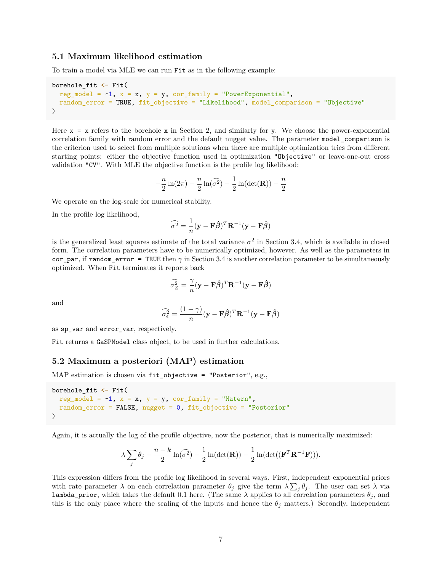### **5.1 Maximum likelihood estimation**

To train a model via MLE we can run Fit as in the following example:

```
borehole_fit <- Fit(
  reg_model = -1, x = x, y = y, cor_family = "PowerExponential",
  random_error = TRUE, fit_objective = "Likelihood", model_comparison = "Objective"
)
```
Here  $x = x$  refers to the borehole x in Section 2, and similarly for y. We choose the power-exponential correlation family with random error and the default nugget value. The parameter model\_comparison is the criterion used to select from multiple solutions when there are multiple optimization tries from different starting points: either the objective function used in optimization "Objective" or leave-one-out cross validation "CV". With MLE the objective function is the profile log likelihood:

$$
-\frac{n}{2}\ln(2\pi) - \frac{n}{2}\ln(\widehat{\sigma^2}) - \frac{1}{2}\ln(\det(\mathbf{R})) - \frac{n}{2}
$$

We operate on the log-scale for numerical stability.

In the profile log likelihood,

$$
\widehat{\sigma^2} = \frac{1}{n} (\mathbf{y} - \mathbf{F} \widehat{\boldsymbol{\beta}})^T \mathbf{R}^{-1} (\mathbf{y} - \mathbf{F} \widehat{\boldsymbol{\beta}})
$$

is the generalized least squares estimate of the total variance  $\sigma^2$  in Section 3.4, which is available in closed form. The correlation parameters have to be numerically optimized, however. As well as the parameters in cor par, if random error = TRUE then  $\gamma$  in Section 3.4 is another correlation parameter to be simultaneously optimized. When Fit terminates it reports back

$$
\widehat{\sigma_Z^2} = \frac{\gamma}{n} (\mathbf{y} - \mathbf{F}\widehat{\boldsymbol{\beta}})^T \mathbf{R}^{-1} (\mathbf{y} - \mathbf{F}\widehat{\boldsymbol{\beta}})
$$

and

$$
\widehat{\sigma_{\epsilon}^2} = \frac{(1-\gamma)}{n} (\mathbf{y} - \mathbf{F}\widehat{\boldsymbol{\beta}})^T \mathbf{R}^{-1} (\mathbf{y} - \mathbf{F}\widehat{\boldsymbol{\beta}})
$$

as sp\_var and error\_var, respectively.

Fit returns a GaSPModel class object, to be used in further calculations.

#### **5.2 Maximum a posteriori (MAP) estimation**

MAP estimation is chosen via fit\_objective = "Posterior", e.g.,

```
borehole_fit <- Fit(
 reg_model = -1, x = x, y = y, cor_family = "Matern",random_error = FALSE, nugget = 0, fit_objective = "Posterior"
)
```
Again, it is actually the log of the profile objective, now the posterior, that is numerically maximized:

$$
\lambda \sum_{j} \theta_{j} - \frac{n-k}{2} \ln(\widehat{\sigma}^{2}) - \frac{1}{2} \ln(\det(\mathbf{R})) - \frac{1}{2} \ln(\det((\mathbf{F}^{T} \mathbf{R}^{-1} \mathbf{F}))).
$$

This expression differs from the profile log likelihood in several ways. First, independent exponential priors with rate parameter  $\lambda$  on each correlation parameter  $\theta_j$  give the term  $\lambda \sum_j \theta_j$ . The user can set  $\lambda$  via lambda\_prior, which takes the default 0.1 here. (The same  $\lambda$  applies to all correlation parameters  $\theta_j$ , and this is the only place where the scaling of the inputs and hence the  $\theta_j$  matters.) Secondly, independent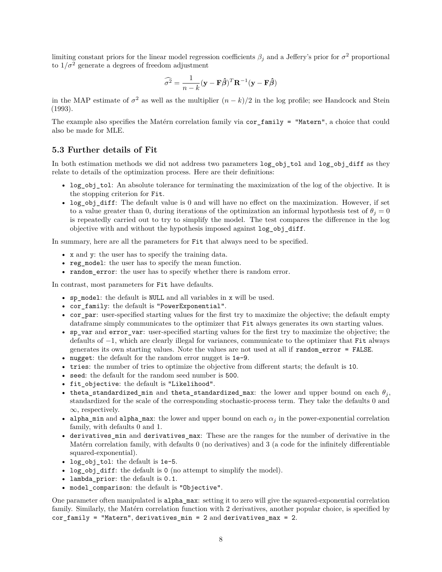limiting constant priors for the linear model regression coefficients  $\beta_j$  and a Jeffery's prior for  $\sigma^2$  proportional to  $1/\sigma^2$  generate a degrees of freedom adjustment

$$
\widehat{\sigma^2} = \frac{1}{n-k} (\mathbf{y} - \mathbf{F}\widehat{\boldsymbol{\beta}})^T \mathbf{R}^{-1} (\mathbf{y} - \mathbf{F}\widehat{\boldsymbol{\beta}})
$$

in the MAP estimate of  $\sigma^2$  as well as the multiplier  $(n-k)/2$  in the log profile; see [Handcock and Stein](#page-16-4) [\(1993\)](#page-16-4).

The example also specifies the Matérn correlation family via cor family = "Matern", a choice that could also be made for MLE.

#### **5.3 Further details of Fit**

In both estimation methods we did not address two parameters  $log_b$  obj\_tol and  $log_b$  obj\_diff as they relate to details of the optimization process. Here are their definitions:

- log\_obj\_tol: An absolute tolerance for terminating the maximization of the log of the objective. It is the stopping criterion for Fit.
- log\_obj\_diff: The default value is 0 and will have no effect on the maximization. However, if set to a value greater than 0, during iterations of the optimization an informal hypothesis test of  $\theta_j = 0$ is repeatedly carried out to try to simplify the model. The test compares the difference in the log objective with and without the hypothesis imposed against log\_obj\_diff.

In summary, here are all the parameters for Fit that always need to be specified.

- x and y: the user has to specify the training data.
- reg model: the user has to specify the mean function.
- random\_error: the user has to specify whether there is random error.

In contrast, most parameters for Fit have defaults.

- sp\_model: the default is NULL and all variables in x will be used.
- cor\_family: the default is "PowerExponential".
- cor\_par: user-specified starting values for the first try to maximize the objective; the default empty dataframe simply communicates to the optimizer that Fit always generates its own starting values.
- sp\_var and error\_var: user-specified starting values for the first try to maximize the objective; the defaults of −1, which are clearly illegal for variances, communicate to the optimizer that Fit always generates its own starting values. Note the values are not used at all if random\_error = FALSE.
- nugget: the default for the random error nugget is 1e-9.
- tries: the number of tries to optimize the objective from different starts; the default is 10.
- seed: the default for the random seed number is 500.
- fit\_objective: the default is "Likelihood".
- theta\_standardized\_min and theta\_standardized\_max: the lower and upper bound on each  $\theta_j$ , standardized for the scale of the corresponding stochastic-process term. They take the defaults 0 and  $\infty$ , respectively.
- alpha\_min and alpha\_max: the lower and upper bound on each  $\alpha_j$  in the power-exponential correlation family, with defaults 0 and 1.
- derivatives\_min and derivatives\_max: These are the ranges for the number of derivative in the Matérn correlation family, with defaults 0 (no derivatives) and 3 (a code for the infinitely differentiable squared-exponential).
- log\_obj\_tol: the default is 1e-5.
- log\_obj\_diff: the default is 0 (no attempt to simplify the model).
- lambda\_prior: the default is 0.1.
- model\_comparison: the default is "Objective".

One parameter often manipulated is alpha\_max: setting it to zero will give the squared-exponential correlation family. Similarly, the Matérn correlation function with 2 derivatives, another popular choice, is specified by cor\_family = "Matern", derivatives\_min = 2 and derivatives\_max = 2.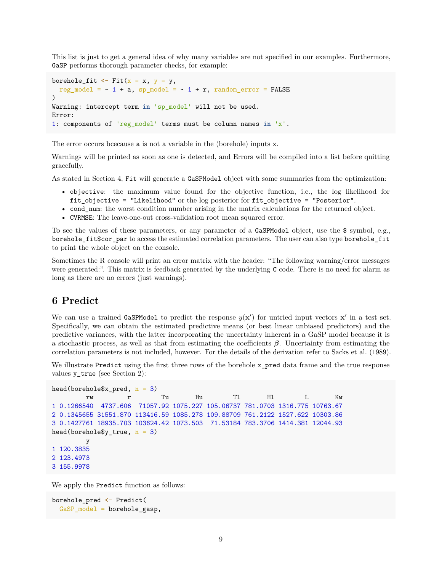This list is just to get a general idea of why many variables are not specified in our examples. Furthermore, GaSP performs thorough parameter checks, for example:

```
borehole_fit \leq Fit(x = x, y = y,
  reg model = ~1 + a, sp model = ~1 + r, random error = FALSE
\lambdaWarning: intercept term in 'sp_model' will not be used.
Error:
1: components of 'reg_model' terms must be column names in 'x'.
```
The error occurs bcecause a is not a variable in the (borehole) inputs x.

Warnings will be printed as soon as one is detected, and Errors will be compiled into a list before quitting gracefully.

As stated in Section 4, Fit will generate a GaSPModel object with some summaries from the optimization:

- objective: the maximum value found for the objective function, i.e., the log likelihood for fit\_objective = "Likelihood" or the log posterior for fit\_objective = "Posterior".
- cond\_num: the worst condition number arising in the matrix calculations for the returned object.
- CVRMSE: The leave-one-out cross-validation root mean squared error.

To see the values of these parameters, or any parameter of a GaSPModel object, use the \$ symbol, e.g., borehole\_fit\$cor\_par to access the estimated correlation parameters. The user can also type borehole\_fit to print the whole object on the console.

Sometimes the R console will print an error matrix with the header: "The following warning/error messages were generated:". This matrix is feedback generated by the underlying C code. There is no need for alarm as long as there are no errors (just warnings).

### **6 Predict**

We can use a trained GaSPModel to predict the response  $y(x')$  for untried input vectors  $x'$  in a test set. Specifically, we can obtain the estimated predictive means (or best linear unbiased predictors) and the predictive variances, with the latter incorporating the uncertainty inherent in a GaSP model because it is a stochastic process, as well as that from estimating the coefficients *β*. Uncertainty from estimating the correlation parameters is not included, however. For the details of the derivation refer to [Sacks et al.](#page-16-0) [\(1989\)](#page-16-0).

We illustrate Predict using the first three rows of the borehole x\_pred data frame and the true response values y\_true (see Section 2):

```
head(borehole$x pred, n = 3)
```

```
rw r Tu Hu Tl Hl L Kw
1 0.1266540 4737.606 71057.92 1075.227 105.06737 781.0703 1316.775 10763.67
2 0.1345655 31551.870 113416.59 1085.278 109.88709 761.2122 1527.622 10303.86
3 0.1427761 18935.703 103624.42 1073.503 71.53184 783.3706 1414.381 12044.93
head(borehole$y_true, n = 3)
       y
1 120.3835
2 123.4973
3 155.9978
```
We apply the Predict function as follows:

```
borehole_pred <- Predict(
 GaSP_model = borehole_gasp,
```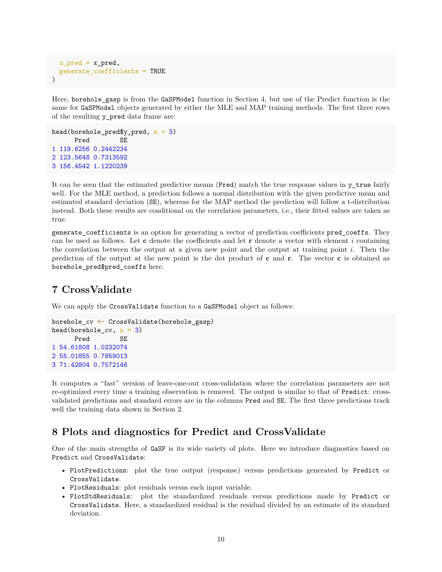```
x pred = x pred,
  generate_coefficients = TRUE
)
```
Here, borehole gasp is from the GaSPModel function in Section 4, but use of the Predict function is the same for GaSPModel objects generated by either the MLE and MAP training methods. The first three rows of the resulting y\_pred data frame are:

```
head(borehole_pred$y_pred, n = 3)
     Pred SE
1 119.6256 0.2442234
2 123.5648 0.7313592
3 156.4542 1.1220239
```
It can be seen that the estimated predictive means (Pred) match the true response values in y\_true fairly well. For the MLE method, a prediction follows a normal distribution with the given predictive mean and estimated standard deviation (SE), whereas for the MAP method the prediction will follow a t-distribution instead. Both these results are conditional on the correlation parameters, i.e., their fitted values are taken as true.

generate\_coefficients is an option for generating a vector of prediction coefficients pred\_coeffs. They can be used as follows. Let **c** denote the coefficients and let **r** denote a vector with element *i* containing the correlation between the output at a given new point and the output at training point *i*. Then the prediction of the output at the new point is the dot product of **c** and **r**. The vector **c** is obtained as borehole pred\$pred coeffs here.

# **7 CrossValidate**

We can apply the CrossValidate function to a GaSPModel object as follows:

```
borehole_cv <- CrossValidate(borehole_gasp)
head(borehole_cv, n = 3)Pred SE
1 54.61808 1.0232074
2 55.01855 0.7859013
3 71.42804 0.7572146
```
It computes a "fast" version of leave-one-out cross-validation where the correlation parameters are not re-optimized every time a training observation is removed. The output is similar to that of Predict: crossvalidated predictions and standard errors are in the columns Pred and SE. The first three predictions track well the training data shown in Section 2.

# **8 Plots and diagnostics for Predict and CrossValidate**

One of the main strengths of GaSP is its wide variety of plots. Here we introduce diagnostics based on Predict and CrossValidate:

- PlotPredictions: plot the true output (response) versus predictions generated by Predict or CrossValidate.
- PlotResiduals: plot residuals versus each input variable.
- PlotStdResiduals: plot the standardized residuals versus predictions made by Predict or CrossValidate. Here, a standardized residual is the residual divided by an estimate of its standard deviation.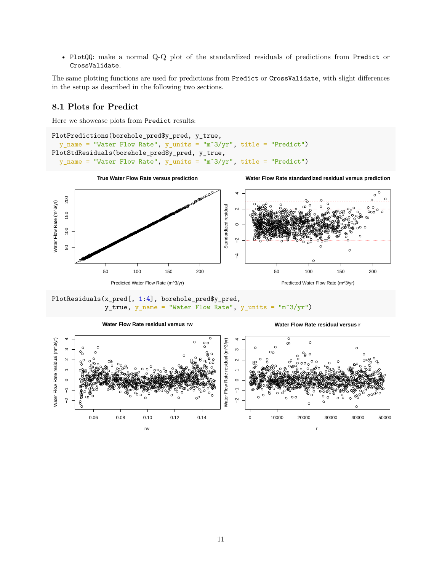• PlotQQ: make a normal Q-Q plot of the standardized residuals of predictions from Predict or CrossValidate.

The same plotting functions are used for predictions from Predict or CrossValidate, with slight differences in the setup as described in the following two sections.

### **8.1 Plots for Predict**

Here we showcase plots from Predict results:

```
PlotPredictions(borehole_pred$y_pred, y_true,
  y_name = "Water Flow Rate", y_units = "mˆ3/yr", title = "Predict")
PlotStdResiduals(borehole_pred$y_pred, y_true,
  y_name = "Water Flow Rate", y_units = "mˆ3/yr", title = "Predict")
```




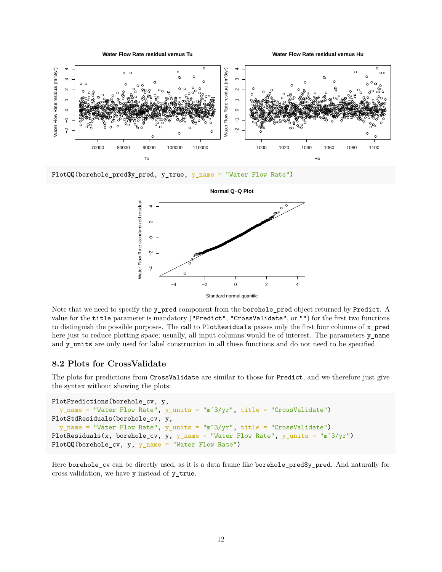

PlotQQ(borehole\_pred\$y\_pred, y\_true, y\_name = "Water Flow Rate")



**Normal Q−Q Plot**

Note that we need to specify the y\_pred component from the borehole\_pred object returned by Predict. A value for the title parameter is mandatory ("Predict", "CrossValidate", or "") for the first two functions to distinguish the possible purposes. The call to PlotResiduals passes only the first four columns of x\_pred here just to reduce plotting space; usually, all input columns would be of interest. The parameters y\_name and y\_units are only used for label construction in all these functions and do not need to be specified.

### **8.2 Plots for CrossValidate**

The plots for predictions from CrossValidate are similar to those for Predict, and we therefore just give the syntax without showing the plots:

```
PlotPredictions(borehole_cv, y,
  y_name = "Water Flow Rate", y_units = "mˆ3/yr", title = "CrossValidate")
PlotStdResiduals(borehole_cv, y,
  y_name = "Water Flow Rate", y_units = "mˆ3/yr", title = "CrossValidate")
PlotResiduals(x, borehole_cv, y, y_name = "Water Flow Rate", y_units = "m<sup>3</sup>/yr")
PlotQQ(borehole_cv, y, y_name = "Water Flow Rate")
```
Here borehole\_cv can be directly used, as it is a data frame like borehole\_pred\$y\_pred. And naturally for cross validation, we have y instead of y\_true.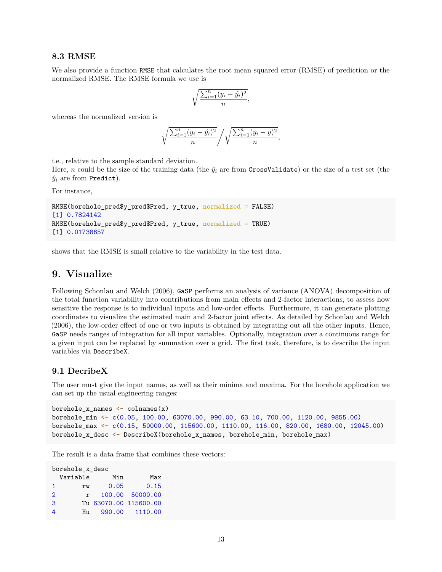#### **8.3 RMSE**

We also provide a function RMSE that calculates the root mean squared error (RMSE) of prediction or the normalized RMSE. The RMSE formula we use is

$$
\sqrt{\frac{\sum_{i=1}^{n}(y_i - \hat{y_i})^2}{n}},
$$

whereas the normalized version is

$$
\sqrt{\frac{\sum_{i=1}^n (y_i - \hat{y}_i)^2}{n}} / \sqrt{\frac{\sum_{i=1}^n (y_i - \bar{y})^2}{n}},
$$

i.e., relative to the sample standard deviation.

Here, *n* could be the size of the training data (the  $\hat{y}_i$  are from CrossValidate) or the size of a test set (the  $\hat{y}_i$  are from Predict).

For instance,

```
RMSE(borehole_pred$y_pred$Pred, y_true, normalized = FALSE)
[1] 0.7824142
RMSE(borehole_pred$y_pred$Pred, y_true, normalized = TRUE)
[1] 0.01738657
```
shows that the RMSE is small relative to the variability in the test data.

## **9. Visualize**

Following [Schonlau and Welch](#page-16-1) [\(2006\)](#page-16-1), GaSP performs an analysis of variance (ANOVA) decomposition of the total function variability into contributions from main effects and 2-factor interactions, to assess how sensitive the response is to individual inputs and low-order effects. Furthermore, it can generate plotting coordinates to visualize the estimated main and 2-factor joint effects. As detailed by [Schonlau and Welch](#page-16-1) [\(2006\)](#page-16-1), the low-order effect of one or two inputs is obtained by integrating out all the other inputs. Hence, GaSP needs ranges of integration for all input variables. Optionally, integration over a continuous range for a given input can be replaced by summation over a grid. The first task, therefore, is to describe the input variables via DescribeX.

#### **9.1 DecribeX**

The user must give the input names, as well as their minima and maxima. For the borehole application we can set up the usual engineering ranges:

```
borehole_x_names <- colnames(x)
borehole_min <- c(0.05, 100.00, 63070.00, 990.00, 63.10, 700.00, 1120.00, 9855.00)
borehole_max <- c(0.15, 50000.00, 115600.00, 1110.00, 116.00, 820.00, 1680.00, 12045.00)
borehole x desc <- DescribeX(borehole x names, borehole min, borehole max)
```
The result is a data frame that combines these vectors:

borehole\_x\_desc Variable Min Max rw 0.05 0.15 r 100.00 50000.00 Tu 63070.00 115600.00 Hu 990.00 1110.00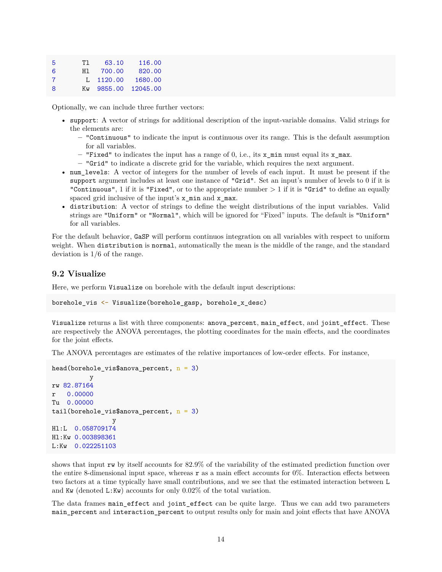| -5 | TT. | 63.10       | 116.00   |
|----|-----|-------------|----------|
| 6  | H 1 | 700.00      | 820,00   |
| 7  |     | $L$ 1120.00 | 1680.00  |
| 8  |     | Kw 9855.00  | 12045.00 |

Optionally, we can include three further vectors:

- support: A vector of strings for additional description of the input-variable domains. Valid strings for the elements are:
	- **–** "Continuous" to indicate the input is continuous over its range. This is the default assumption for all variables.
	- **–** "Fixed" to indicates the input has a range of 0, i.e., its x\_min must equal its x\_max.
	- **–** "Grid" to indicate a discrete grid for the variable, which requires the next argument.
- num levels: A vector of integers for the number of levels of each input. It must be present if the support argument includes at least one instance of "Grid". Set an input's number of levels to 0 if it is "Continuous", 1 if it is "Fixed", or to the appropriate number *>* 1 if it is "Grid" to define an equally spaced grid inclusive of the input's x\_min and x\_max.
- distribution: A vector of strings to define the weight distributions of the input variables. Valid strings are "Uniform" or "Normal", which will be ignored for "Fixed" inputs. The default is "Uniform" for all variables.

For the default behavior, GaSP will perform continuos integration on all variables with respect to uniform weight. When distribution is normal, automatically the mean is the middle of the range, and the standard deviation is 1/6 of the range.

### **9.2 Visualize**

Here, we perform Visualize on borehole with the default input descriptions:

```
borehole vis <- Visualize(borehole gasp, borehole x desc)
```
Visualize returns a list with three components: anova\_percent, main\_effect, and joint\_effect. These are respectively the ANOVA percentages, the plotting coordinates for the main effects, and the coordinates for the joint effects.

The ANOVA percentages are estimates of the relative importances of low-order effects. For instance,

```
head(borehole_vis$anova_percent, n = 3)
          y
rw 82.87164
r 0.00000
Tu 0.00000
tail(borehole_vis$anova_percent, n = 3)
                y
Hl:L 0.058709174
Hl:Kw 0.003898361
L:Kw 0.022251103
```
shows that input rw by itself accounts for 82.9% of the variability of the estimated prediction function over the entire 8-dimensional input space, whereas  $\bf{r}$  as a main effect accounts for 0%. Interaction effects between two factors at a time typically have small contributions, and we see that the estimated interaction between L and Kw (denoted L:Kw) accounts for only  $0.02\%$  of the total variation.

The data frames main\_effect and joint\_effect can be quite large. Thus we can add two parameters main\_percent and interaction\_percent to output results only for main and joint effects that have ANOVA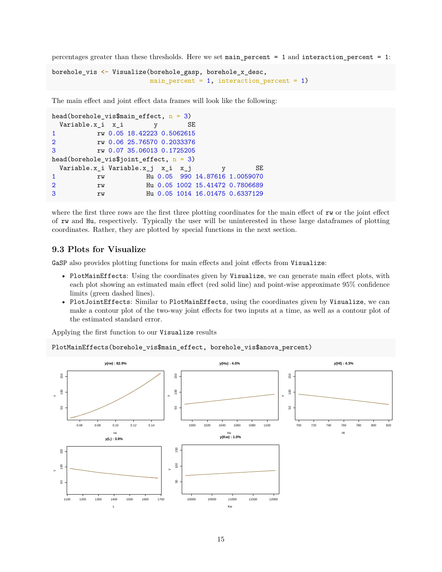percentages greater than these thresholds. Here we set main percent = 1 and interaction percent = 1:

```
borehole_vis <- Visualize(borehole_gasp, borehole_x_desc,
                          main percent = 1, interaction percent = 1)
```
The main effect and joint effect data frames will look like the following:

```
head(borehole_vis$main_effect, n = 3)
 Variable.x_i x_i y SE
1 rw 0.05 18.42223 0.5062615
2 rw 0.06 25.76570 0.2033376
3 rw 0.07 35.06013 0.1725205
head(borehole_vis$joint_effect, n = 3)
 Variable.x_i Variable.x_j x_i x_j y SE
1 rw Hu 0.05 990 14.87616 1.0059070
2 rw Hu 0.05 1002 15.41472 0.7806689
3 rw Hu 0.05 1014 16.01475 0.6337129
```
where the first three rows are the first three plotting coordinates for the main effect of rw or the joint effect of rw and Hu, respectively. Typically the user will be uninterested in these large dataframes of plotting coordinates. Rather, they are plotted by special functions in the next section.

### **9.3 Plots for Visualize**

GaSP also provides plotting functions for main effects and joint effects from Visualize:

- PlotMainEffects: Using the coordinates given by Visualize, we can generate main effect plots, with each plot showing an estimated main effect (red solid line) and point-wise approximate 95% confidence limits (green dashed lines).
- PlotJointEffects: Similar to PlotMainEffects, using the coordinates given by Visualize, we can make a contour plot of the two-way joint effects for two inputs at a time, as well as a contour plot of the estimated standard error.

Applying the first function to our Visualize results

PlotMainEffects(borehole\_vis\$main\_effect, borehole\_vis\$anova\_percent)

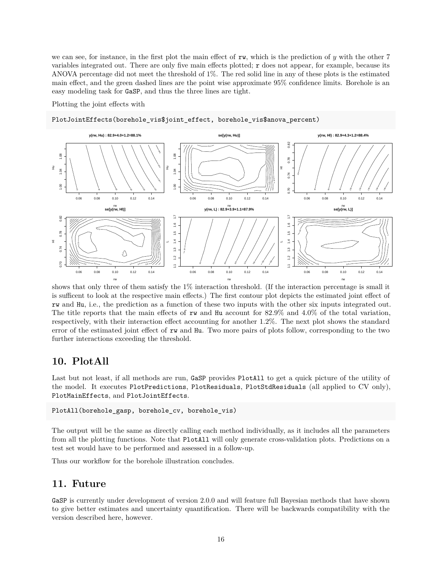we can see, for instance, in the first plot the main effect of rw, which is the prediction of *y* with the other 7 variables integrated out. There are only five main effects plotted; r does not appear, for example, because its ANOVA percentage did not meet the threshold of 1%. The red solid line in any of these plots is the estimated main effect, and the green dashed lines are the point wise approximate 95% confidence limits. Borehole is an easy modeling task for GaSP, and thus the three lines are tight.

Plotting the joint effects with

PlotJointEffects(borehole\_vis\$joint\_effect, borehole\_vis\$anova\_percent)



shows that only three of them satisfy the 1% interaction threshold. (If the interaction percentage is small it is sufficent to look at the respective main effects.) The first contour plot depicts the estimated joint effect of rw and Hu, i.e., the prediction as a function of these two inputs with the other six inputs integrated out. The title reports that the main effects of rw and Hu account for 82.9% and 4.0% of the total variation, respectively, with their interaction effect accounting for another 1.2%. The next plot shows the standard error of the estimated joint effect of rw and Hu. Two more pairs of plots follow, corresponding to the two further interactions exceeding the threshold.

# **10. PlotAll**

Last but not least, if all methods are run, GaSP provides PlotAll to get a quick picture of the utility of the model. It executes PlotPredictions, PlotResiduals, PlotStdResiduals (all applied to CV only), PlotMainEffects, and PlotJointEffects.

PlotAll(borehole\_gasp, borehole\_cv, borehole\_vis)

The output will be the same as directly calling each method individually, as it includes all the parameters from all the plotting functions. Note that PlotAll will only generate cross-validation plots. Predictions on a test set would have to be performed and assessed in a follow-up.

Thus our workflow for the borehole illustration concludes.

### **11. Future**

GaSP is currently under development of version 2.0.0 and will feature full Bayesian methods that have shown to give better estimates and uncertainty quantification. There will be backwards compatibility with the version described here, however.